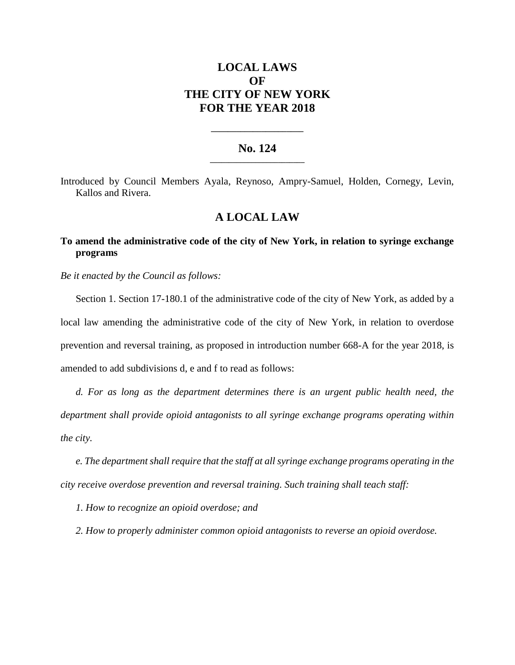# **LOCAL LAWS OF THE CITY OF NEW YORK FOR THE YEAR 2018**

### **No. 124 \_\_\_\_\_\_\_\_\_\_\_\_\_\_\_\_\_\_\_\_\_\_\_\_\_**

**\_\_\_\_\_\_\_\_\_\_\_\_\_\_\_\_\_\_\_\_\_\_**

Introduced by Council Members Ayala, Reynoso, Ampry-Samuel, Holden, Cornegy, Levin, Kallos and Rivera.

### **A LOCAL LAW**

## **To amend the administrative code of the city of New York, in relation to syringe exchange programs**

*Be it enacted by the Council as follows:*

Section 1. Section 17-180.1 of the administrative code of the city of New York, as added by a local law amending the administrative code of the city of New York, in relation to overdose prevention and reversal training, as proposed in introduction number 668-A for the year 2018, is amended to add subdivisions d, e and f to read as follows:

*d. For as long as the department determines there is an urgent public health need, the department shall provide opioid antagonists to all syringe exchange programs operating within the city.*

*e. The department shall require that the staff at all syringe exchange programs operating in the city receive overdose prevention and reversal training. Such training shall teach staff:*

*1. How to recognize an opioid overdose; and*

*2. How to properly administer common opioid antagonists to reverse an opioid overdose.*